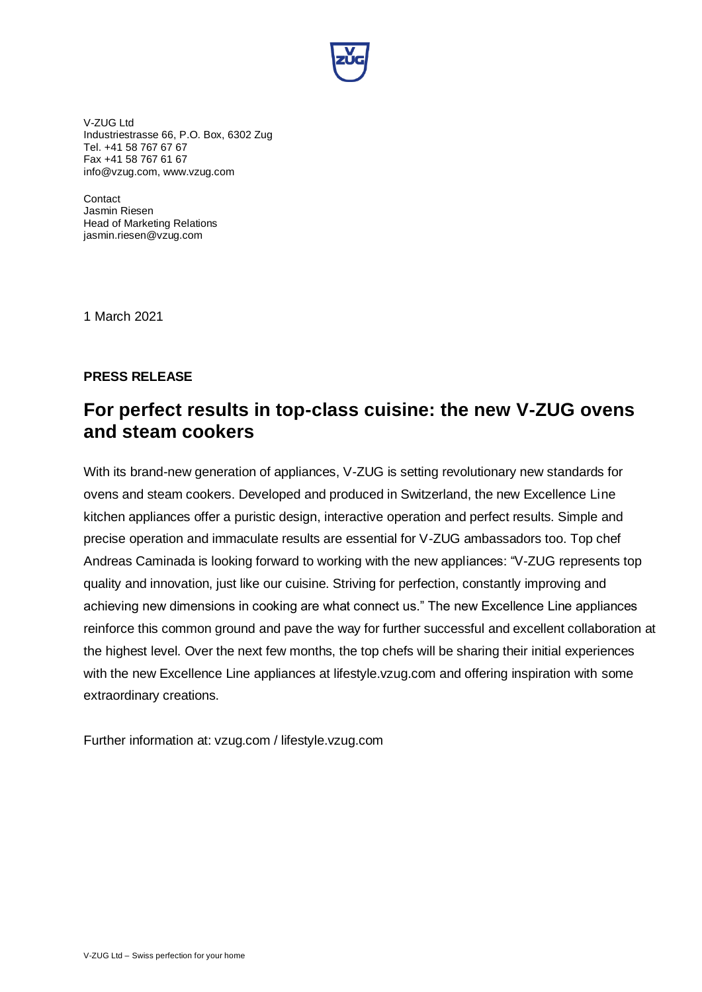

V-ZUG Ltd Industriestrasse 66, P.O. Box, 6302 Zug Tel. +41 58 767 67 67 Fax +41 58 767 61 67 info@vzug.com, www.vzug.com

**Contact** Jasmin Riesen Head of Marketing Relations jasmin.riesen@vzug.com

1 March 2021

## **PRESS RELEASE**

## **For perfect results in top-class cuisine: the new V-ZUG ovens and steam cookers**

With its brand-new generation of appliances, V-ZUG is setting revolutionary new standards for ovens and steam cookers. Developed and produced in Switzerland, the new Excellence Line kitchen appliances offer a puristic design, interactive operation and perfect results. Simple and precise operation and immaculate results are essential for V-ZUG ambassadors too. Top chef Andreas Caminada is looking forward to working with the new appliances: "V-ZUG represents top quality and innovation, just like our cuisine. Striving for perfection, constantly improving and achieving new dimensions in cooking are what connect us." The new Excellence Line appliances reinforce this common ground and pave the way for further successful and excellent collaboration at the highest level. Over the next few months, the top chefs will be sharing their initial experiences with the new Excellence Line appliances at lifestyle.vzug.com and offering inspiration with some extraordinary creations.

Further information at: vzug.com / lifestyle.vzug.com